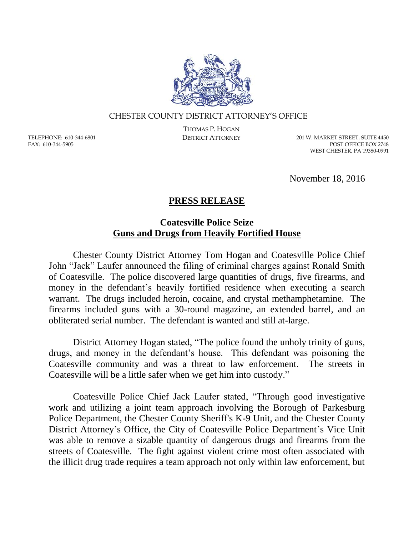

## CHESTER COUNTY DISTRICT ATTORNEY'S OFFICE

TELEPHONE: 610-344-6801 FAX: 610-344-5905

THOMAS P. HOGAN

DISTRICT ATTORNEY 201 W. MARKET STREET, SUITE 4450 POST OFFICE BOX 2748 WEST CHESTER, PA 19380-0991

November 18, 2016

## **PRESS RELEASE**

## **Coatesville Police Seize Guns and Drugs from Heavily Fortified House**

Chester County District Attorney Tom Hogan and Coatesville Police Chief John "Jack" Laufer announced the filing of criminal charges against Ronald Smith of Coatesville. The police discovered large quantities of drugs, five firearms, and money in the defendant's heavily fortified residence when executing a search warrant. The drugs included heroin, cocaine, and crystal methamphetamine. The firearms included guns with a 30-round magazine, an extended barrel, and an obliterated serial number. The defendant is wanted and still at-large.

District Attorney Hogan stated, "The police found the unholy trinity of guns, drugs, and money in the defendant's house. This defendant was poisoning the Coatesville community and was a threat to law enforcement. The streets in Coatesville will be a little safer when we get him into custody."

Coatesville Police Chief Jack Laufer stated, "Through good investigative work and utilizing a joint team approach involving the Borough of Parkesburg Police Department, the Chester County Sheriff's K-9 Unit, and the Chester County District Attorney's Office, the City of Coatesville Police Department's Vice Unit was able to remove a sizable quantity of dangerous drugs and firearms from the streets of Coatesville. The fight against violent crime most often associated with the illicit drug trade requires a team approach not only within law enforcement, but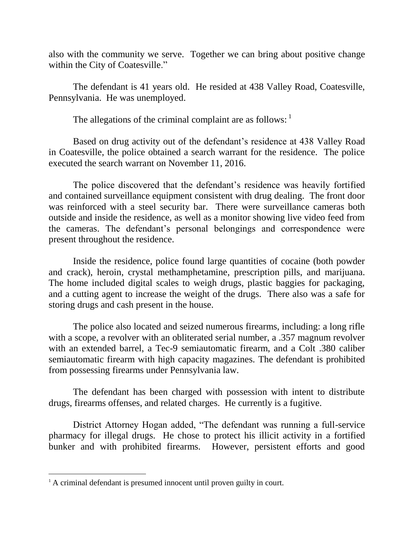also with the community we serve. Together we can bring about positive change within the City of Coatesville."

The defendant is 41 years old. He resided at 438 Valley Road, Coatesville, Pennsylvania. He was unemployed.

The allegations of the criminal complaint are as follows:  $\frac{1}{1}$ 

Based on drug activity out of the defendant's residence at 438 Valley Road in Coatesville, the police obtained a search warrant for the residence. The police executed the search warrant on November 11, 2016.

The police discovered that the defendant's residence was heavily fortified and contained surveillance equipment consistent with drug dealing. The front door was reinforced with a steel security bar. There were surveillance cameras both outside and inside the residence, as well as a monitor showing live video feed from the cameras. The defendant's personal belongings and correspondence were present throughout the residence.

Inside the residence, police found large quantities of cocaine (both powder and crack), heroin, crystal methamphetamine, prescription pills, and marijuana. The home included digital scales to weigh drugs, plastic baggies for packaging, and a cutting agent to increase the weight of the drugs. There also was a safe for storing drugs and cash present in the house.

The police also located and seized numerous firearms, including: a long rifle with a scope, a revolver with an obliterated serial number, a .357 magnum revolver with an extended barrel, a Tec-9 semiautomatic firearm, and a Colt .380 caliber semiautomatic firearm with high capacity magazines. The defendant is prohibited from possessing firearms under Pennsylvania law.

The defendant has been charged with possession with intent to distribute drugs, firearms offenses, and related charges. He currently is a fugitive.

District Attorney Hogan added, "The defendant was running a full-service pharmacy for illegal drugs. He chose to protect his illicit activity in a fortified bunker and with prohibited firearms. However, persistent efforts and good

 $\overline{a}$ 

 $<sup>1</sup>$  A criminal defendant is presumed innocent until proven guilty in court.</sup>